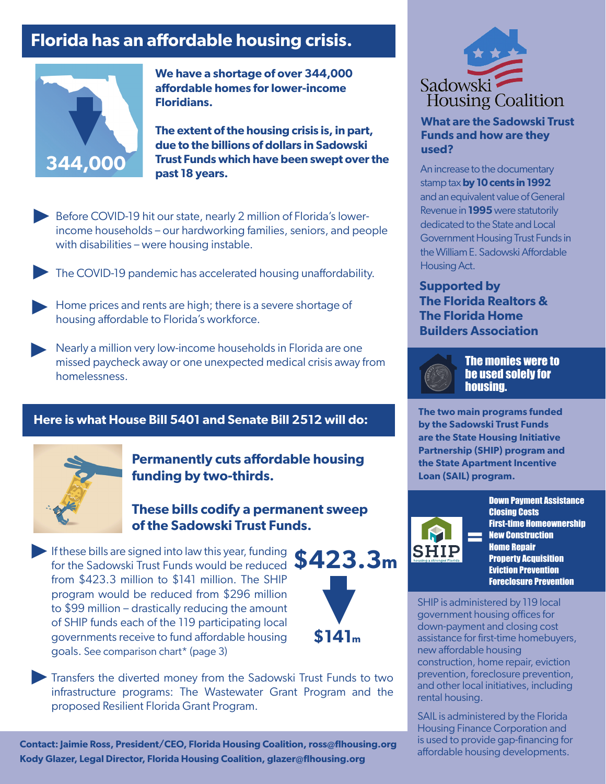## **Florida has an affordable housing crisis.**



**We have a shortage of over 344,000 affordable homes for lower-income Floridians.** 

**The extent of the housing crisis is, in part, due to the billions of dollars in Sadowski Trust Funds which have been swept over the past 18 years.**

Before COVID-19 hit our state, nearly 2 million of Florida's lowerincome households – our hardworking families, seniors, and people with disabilities – were housing instable. ▶

The COVID-19 pandemic has accelerated housing unaffordability. ▶

Home prices and rents are high; there is a severe shortage of housing affordable to Florida's workforce. housing affordable to Florida's workforce.

▶ Nearly a million very low-income households in Florida are one missed paycheck away or one unexpected medical crisis away f missed paycheck away or one unexpected medical crisis away from homelessness.

### **Here is what House Bill 5401 and Senate Bill 2512 will do:**



**Permanently cuts affordable housing funding by two-thirds.**

**These bills codify a permanent sweep of the Sadowski Trust Funds.**

If these bills are signed into law this year, funding **F** If these bills are signed into law this year, funding  $$423.3m$ from \$423.3 million to \$141 million. The SHIP program would be reduced from \$296 million to \$99 million – drastically reducing the amount of SHIP funds each of the 119 participating local governments receive to fund affordable housing goals. See comparison chart\* (page 3)



Transfers the diverted money from the Sadowski Trust Funds to two infrastructure programs: The Wastewater Grant Program and the proposed Resilient Florida Grant Program. ▶

**Contact: Jaimie Ross, President/CEO, Florida Housing Coalition, ross@flhousing.org Kody Glazer, Legal Director, Florida Housing Coalition, glazer@flhousing.org**



**What are the Sadowski Trust Funds and how are they used?**

An increase to the documentary stamp tax **by 10 cents in 1992**  and an equivalent value of General Revenue in **1995** were statutorily dedicated to the State and Local Government Housing Trust Funds in the William E. Sadowski Affordable Housing Act.

**Supported by The Florida Realtors & The Florida Home Builders Association**



The monies were to be used solely for housing.

**The two main programs funded by the Sadowski Trust Funds are the State Housing Initiative Partnership (SHIP) program and the State Apartment Incentive Loan (SAIL) program.**



Down Payment Assistance Closing Costs First-time Homeownership New Construction Home Repair **Property Acquisition** Eviction Prevention Foreclosure Prevention

SHIP is administered by 119 local government housing offices for down-payment and closing cost assistance for first-time homebuyers, new affordable housing construction, home repair, eviction prevention, foreclosure prevention, and other local initiatives, including rental housing.

SAIL is administered by the Florida Housing Finance Corporation and is used to provide gap-financing for affordable housing developments.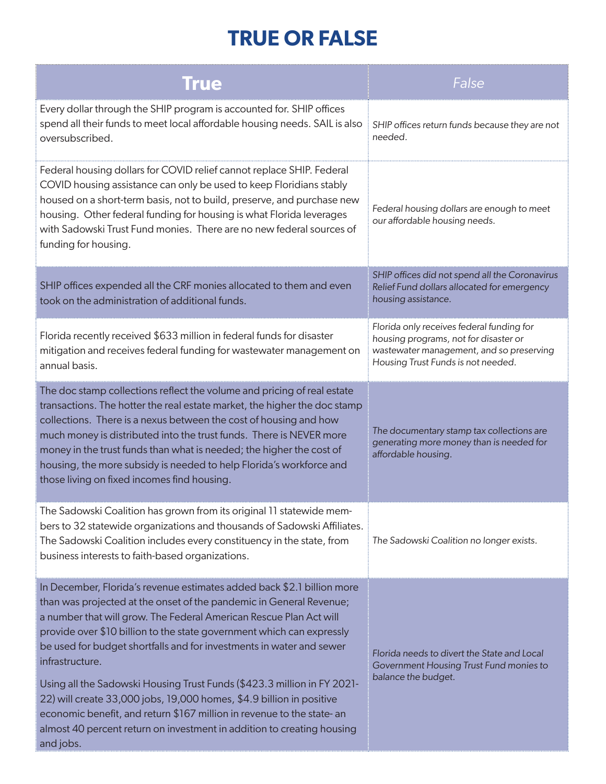# **TRUE OR FALSE**

| <b>True</b>                                                                                                                                                                                                                                                                                                                                                                                                                                                                                                                                                                                                                                                                                                 | False                                                                                                                                                                |
|-------------------------------------------------------------------------------------------------------------------------------------------------------------------------------------------------------------------------------------------------------------------------------------------------------------------------------------------------------------------------------------------------------------------------------------------------------------------------------------------------------------------------------------------------------------------------------------------------------------------------------------------------------------------------------------------------------------|----------------------------------------------------------------------------------------------------------------------------------------------------------------------|
| Every dollar through the SHIP program is accounted for. SHIP offices<br>spend all their funds to meet local affordable housing needs. SAIL is also<br>oversubscribed.                                                                                                                                                                                                                                                                                                                                                                                                                                                                                                                                       | SHIP offices return funds because they are not<br>needed.                                                                                                            |
| Federal housing dollars for COVID relief cannot replace SHIP. Federal<br>COVID housing assistance can only be used to keep Floridians stably<br>housed on a short-term basis, not to build, preserve, and purchase new<br>housing. Other federal funding for housing is what Florida leverages<br>with Sadowski Trust Fund monies. There are no new federal sources of<br>funding for housing.                                                                                                                                                                                                                                                                                                              | Federal housing dollars are enough to meet<br>our affordable housing needs.                                                                                          |
| SHIP offices expended all the CRF monies allocated to them and even<br>took on the administration of additional funds.                                                                                                                                                                                                                                                                                                                                                                                                                                                                                                                                                                                      | SHIP offices did not spend all the Coronavirus<br>Relief Fund dollars allocated for emergency<br>housing assistance.                                                 |
| Florida recently received \$633 million in federal funds for disaster<br>mitigation and receives federal funding for wastewater management on<br>annual basis.                                                                                                                                                                                                                                                                                                                                                                                                                                                                                                                                              | Florida only receives federal funding for<br>housing programs, not for disaster or<br>wastewater management, and so preserving<br>Housing Trust Funds is not needed. |
| The doc stamp collections reflect the volume and pricing of real estate<br>transactions. The hotter the real estate market, the higher the doc stamp<br>collections. There is a nexus between the cost of housing and how<br>much money is distributed into the trust funds. There is NEVER more<br>money in the trust funds than what is needed; the higher the cost of<br>housing, the more subsidy is needed to help Florida's workforce and<br>those living on fixed incomes find housing.                                                                                                                                                                                                              | The documentary stamp tax collections are<br>generating more money than is needed for<br>affordable housing.                                                         |
| The Sadowski Coalition has grown from its original 11 statewide mem-<br>bers to 32 statewide organizations and thousands of Sadowski Affiliates.<br>The Sadowski Coalition includes every constituency in the state, from<br>business interests to faith-based organizations.                                                                                                                                                                                                                                                                                                                                                                                                                               | The Sadowski Coalition no longer exists.                                                                                                                             |
| In December, Florida's revenue estimates added back \$2.1 billion more<br>than was projected at the onset of the pandemic in General Revenue;<br>a number that will grow. The Federal American Rescue Plan Act will<br>provide over \$10 billion to the state government which can expressly<br>be used for budget shortfalls and for investments in water and sewer<br>infrastructure.<br>Using all the Sadowski Housing Trust Funds (\$423.3 million in FY 2021-<br>22) will create 33,000 jobs, 19,000 homes, \$4.9 billion in positive<br>economic benefit, and return \$167 million in revenue to the state- an<br>almost 40 percent return on investment in addition to creating housing<br>and jobs. | Florida needs to divert the State and Local<br>Government Housing Trust Fund monies to<br>balance the budget.                                                        |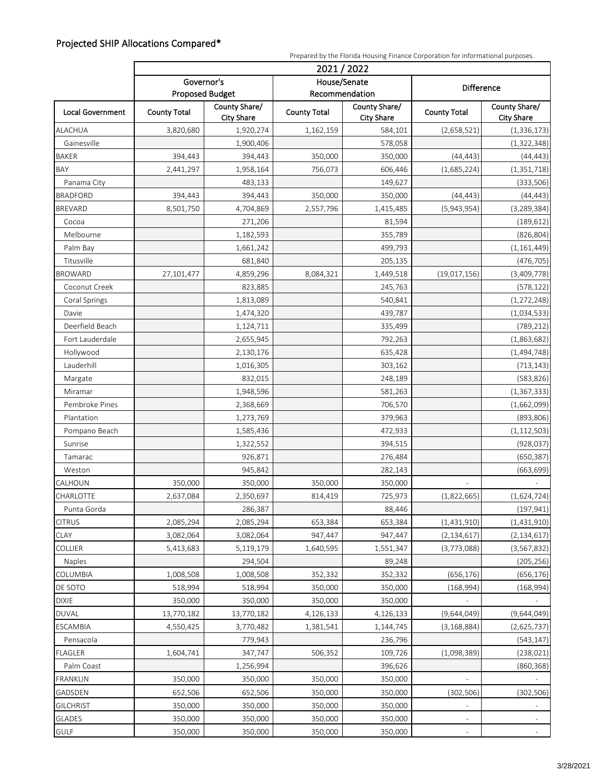#### Projected SHIP Allocations Compared\*

| 2021/2022<br>House/Senate<br>Governor's<br><b>Difference</b><br>Recommendation<br><b>Proposed Budget</b><br>County Share/<br>County Share/<br>County Share/<br>Local Government<br><b>County Total</b><br><b>County Total</b><br><b>County Total</b><br><b>City Share</b><br><b>City Share</b><br><b>City Share</b><br><b>ALACHUA</b><br>3,820,680<br>1,920,274<br>584,101<br>(1, 336, 173)<br>1,162,159<br>(2,658,521)<br>Gainesville<br>1,900,406<br>578,058<br>(1,322,348)<br>394,443<br>350,000<br><b>BAKER</b><br>394,443<br>350,000<br>(44, 443)<br>(44, 443)<br>BAY<br>1,958,164<br>606,446<br>(1, 351, 718)<br>2,441,297<br>756,073<br>(1,685,224)<br>Panama City<br>483,133<br>149,627<br>(333,506)<br><b>BRADFORD</b><br>394,443<br>394,443<br>350,000<br>350,000<br>(44, 443)<br>(44, 443)<br><b>BREVARD</b><br>8,501,750<br>2,557,796<br>4,704,869<br>1,415,485<br>(5,943,954)<br>(3, 289, 384)<br>271,206<br>(189, 612)<br>Cocoa<br>81,594<br>Melbourne<br>1,182,593<br>355,789<br>(826, 804)<br>Palm Bay<br>1,661,242<br>499,793<br>(1, 161, 449)<br>Titusville<br>681,840<br>(476, 705)<br>205,135<br><b>BROWARD</b><br>27,101,477<br>4,859,296<br>8,084,321<br>1,449,518<br>(19,017,156)<br>(3,409,778)<br>Coconut Creek<br>823,885<br>245,763<br>(578, 122)<br>540,841<br>Coral Springs<br>1,813,089<br>(1, 272, 248)<br>Davie<br>439,787<br>1,474,320<br>(1,034,533)<br>Deerfield Beach<br>1,124,711<br>(789, 212)<br>335,499<br>Fort Lauderdale<br>2,655,945<br>792,263<br>(1,863,682)<br>Hollywood<br>2,130,176<br>(1,494,748)<br>635,428<br>Lauderhill<br>1,016,305<br>303,162<br>(713, 143)<br>Margate<br>832,015<br>248,189<br>(583, 826)<br>1,948,596<br>(1, 367, 333)<br>Miramar<br>581,263<br>Pembroke Pines<br>(1,662,099)<br>2,368,669<br>706,570<br>Plantation<br>1,273,769<br>379,963<br>(893, 806)<br>Pompano Beach<br>(1, 112, 503)<br>1,585,436<br>472,933<br>Sunrise<br>394,515<br>(928, 037)<br>1,322,552<br>926,871<br>276,484<br>(650, 387)<br>Tamarac<br>945,842<br>(663, 699)<br>Weston<br>282,143<br>350,000<br>CALHOUN<br>350,000<br>350,000<br>350,000<br>2,350,697<br>725,973<br>(1,822,665)<br>(1,624,724)<br>2,637,084<br>814,419<br><b>CHARLOTTE</b><br>Punta Gorda<br>286,387<br>(197, 941)<br>88,446<br><b>CITRUS</b><br>2,085,294<br>2,085,294<br>653,384<br>653,384<br>(1,431,910)<br>(1,431,910)<br><b>CLAY</b><br>947,447<br>3,082,064<br>3,082,064<br>947,447<br>(2, 134, 617)<br>(2, 134, 617)<br>COLLIER<br>5,413,683<br>5,119,179<br>1,640,595<br>1,551,347<br>(3,773,088)<br>(3, 567, 832)<br>Naples<br>294,504<br>89,248<br>(205, 256)<br>COLUMBIA<br>352,332<br>(656, 176)<br>1,008,508<br>1,008,508<br>352,332<br>(656, 176)<br>DE SOTO<br>518,994<br>518,994<br>350,000<br>350,000<br>(168, 994)<br>(168,994)<br><b>DIXIE</b><br>350,000<br>350,000<br>350,000<br>350,000<br><b>DUVAL</b><br>(9,644,049)<br>13,770,182<br>13,770,182<br>4,126,133<br>4,126,133<br>(9,644,049)<br>1,144,745<br>ESCAMBIA<br>4,550,425<br>3,770,482<br>1,381,541<br>(2,625,737)<br>(3, 168, 884)<br>Pensacola<br>779,943<br>236,796<br>(543, 147)<br><b>FLAGLER</b><br>(238, 021)<br>1,604,741<br>347,747<br>506,352<br>109,726<br>(1,098,389)<br>Palm Coast<br>1,256,994<br>396,626<br>(860, 368)<br><b>FRANKLIN</b><br>350,000<br>350,000<br>350,000<br>350,000<br>652,506<br>GADSDEN<br>652,506<br>350,000<br>350,000<br>(302, 506)<br>(302, 506)<br>350,000<br>350,000<br>350,000<br><b>GILCHRIST</b><br>350,000<br><b>GLADES</b><br>350,000<br>350,000<br>350,000<br>350,000<br>$\overline{\phantom{a}}$<br>$\equiv$ |             | Prepared by the Florida Housing Finance Corporation for informational purposes. |         |         |         |  |  |  |
|---------------------------------------------------------------------------------------------------------------------------------------------------------------------------------------------------------------------------------------------------------------------------------------------------------------------------------------------------------------------------------------------------------------------------------------------------------------------------------------------------------------------------------------------------------------------------------------------------------------------------------------------------------------------------------------------------------------------------------------------------------------------------------------------------------------------------------------------------------------------------------------------------------------------------------------------------------------------------------------------------------------------------------------------------------------------------------------------------------------------------------------------------------------------------------------------------------------------------------------------------------------------------------------------------------------------------------------------------------------------------------------------------------------------------------------------------------------------------------------------------------------------------------------------------------------------------------------------------------------------------------------------------------------------------------------------------------------------------------------------------------------------------------------------------------------------------------------------------------------------------------------------------------------------------------------------------------------------------------------------------------------------------------------------------------------------------------------------------------------------------------------------------------------------------------------------------------------------------------------------------------------------------------------------------------------------------------------------------------------------------------------------------------------------------------------------------------------------------------------------------------------------------------------------------------------------------------------------------------------------------------------------------------------------------------------------------------------------------------------------------------------------------------------------------------------------------------------------------------------------------------------------------------------------------------------------------------------------------------------------------------------------------------------------------------------------------------------------------------------------------------------------------------------------------------------------------------------------------------------------------------------------------------------------------------------------------------------------------------------------------------------------------------------------------------------------------------------------------------------------------------------------------------------------------------------------|-------------|---------------------------------------------------------------------------------|---------|---------|---------|--|--|--|
|                                                                                                                                                                                                                                                                                                                                                                                                                                                                                                                                                                                                                                                                                                                                                                                                                                                                                                                                                                                                                                                                                                                                                                                                                                                                                                                                                                                                                                                                                                                                                                                                                                                                                                                                                                                                                                                                                                                                                                                                                                                                                                                                                                                                                                                                                                                                                                                                                                                                                                                                                                                                                                                                                                                                                                                                                                                                                                                                                                                                                                                                                                                                                                                                                                                                                                                                                                                                                                                                                                                                                                     |             |                                                                                 |         |         |         |  |  |  |
|                                                                                                                                                                                                                                                                                                                                                                                                                                                                                                                                                                                                                                                                                                                                                                                                                                                                                                                                                                                                                                                                                                                                                                                                                                                                                                                                                                                                                                                                                                                                                                                                                                                                                                                                                                                                                                                                                                                                                                                                                                                                                                                                                                                                                                                                                                                                                                                                                                                                                                                                                                                                                                                                                                                                                                                                                                                                                                                                                                                                                                                                                                                                                                                                                                                                                                                                                                                                                                                                                                                                                                     |             |                                                                                 |         |         |         |  |  |  |
|                                                                                                                                                                                                                                                                                                                                                                                                                                                                                                                                                                                                                                                                                                                                                                                                                                                                                                                                                                                                                                                                                                                                                                                                                                                                                                                                                                                                                                                                                                                                                                                                                                                                                                                                                                                                                                                                                                                                                                                                                                                                                                                                                                                                                                                                                                                                                                                                                                                                                                                                                                                                                                                                                                                                                                                                                                                                                                                                                                                                                                                                                                                                                                                                                                                                                                                                                                                                                                                                                                                                                                     |             |                                                                                 |         |         |         |  |  |  |
|                                                                                                                                                                                                                                                                                                                                                                                                                                                                                                                                                                                                                                                                                                                                                                                                                                                                                                                                                                                                                                                                                                                                                                                                                                                                                                                                                                                                                                                                                                                                                                                                                                                                                                                                                                                                                                                                                                                                                                                                                                                                                                                                                                                                                                                                                                                                                                                                                                                                                                                                                                                                                                                                                                                                                                                                                                                                                                                                                                                                                                                                                                                                                                                                                                                                                                                                                                                                                                                                                                                                                                     |             |                                                                                 |         |         |         |  |  |  |
|                                                                                                                                                                                                                                                                                                                                                                                                                                                                                                                                                                                                                                                                                                                                                                                                                                                                                                                                                                                                                                                                                                                                                                                                                                                                                                                                                                                                                                                                                                                                                                                                                                                                                                                                                                                                                                                                                                                                                                                                                                                                                                                                                                                                                                                                                                                                                                                                                                                                                                                                                                                                                                                                                                                                                                                                                                                                                                                                                                                                                                                                                                                                                                                                                                                                                                                                                                                                                                                                                                                                                                     |             |                                                                                 |         |         |         |  |  |  |
|                                                                                                                                                                                                                                                                                                                                                                                                                                                                                                                                                                                                                                                                                                                                                                                                                                                                                                                                                                                                                                                                                                                                                                                                                                                                                                                                                                                                                                                                                                                                                                                                                                                                                                                                                                                                                                                                                                                                                                                                                                                                                                                                                                                                                                                                                                                                                                                                                                                                                                                                                                                                                                                                                                                                                                                                                                                                                                                                                                                                                                                                                                                                                                                                                                                                                                                                                                                                                                                                                                                                                                     |             |                                                                                 |         |         |         |  |  |  |
|                                                                                                                                                                                                                                                                                                                                                                                                                                                                                                                                                                                                                                                                                                                                                                                                                                                                                                                                                                                                                                                                                                                                                                                                                                                                                                                                                                                                                                                                                                                                                                                                                                                                                                                                                                                                                                                                                                                                                                                                                                                                                                                                                                                                                                                                                                                                                                                                                                                                                                                                                                                                                                                                                                                                                                                                                                                                                                                                                                                                                                                                                                                                                                                                                                                                                                                                                                                                                                                                                                                                                                     |             |                                                                                 |         |         |         |  |  |  |
|                                                                                                                                                                                                                                                                                                                                                                                                                                                                                                                                                                                                                                                                                                                                                                                                                                                                                                                                                                                                                                                                                                                                                                                                                                                                                                                                                                                                                                                                                                                                                                                                                                                                                                                                                                                                                                                                                                                                                                                                                                                                                                                                                                                                                                                                                                                                                                                                                                                                                                                                                                                                                                                                                                                                                                                                                                                                                                                                                                                                                                                                                                                                                                                                                                                                                                                                                                                                                                                                                                                                                                     |             |                                                                                 |         |         |         |  |  |  |
|                                                                                                                                                                                                                                                                                                                                                                                                                                                                                                                                                                                                                                                                                                                                                                                                                                                                                                                                                                                                                                                                                                                                                                                                                                                                                                                                                                                                                                                                                                                                                                                                                                                                                                                                                                                                                                                                                                                                                                                                                                                                                                                                                                                                                                                                                                                                                                                                                                                                                                                                                                                                                                                                                                                                                                                                                                                                                                                                                                                                                                                                                                                                                                                                                                                                                                                                                                                                                                                                                                                                                                     |             |                                                                                 |         |         |         |  |  |  |
|                                                                                                                                                                                                                                                                                                                                                                                                                                                                                                                                                                                                                                                                                                                                                                                                                                                                                                                                                                                                                                                                                                                                                                                                                                                                                                                                                                                                                                                                                                                                                                                                                                                                                                                                                                                                                                                                                                                                                                                                                                                                                                                                                                                                                                                                                                                                                                                                                                                                                                                                                                                                                                                                                                                                                                                                                                                                                                                                                                                                                                                                                                                                                                                                                                                                                                                                                                                                                                                                                                                                                                     |             |                                                                                 |         |         |         |  |  |  |
|                                                                                                                                                                                                                                                                                                                                                                                                                                                                                                                                                                                                                                                                                                                                                                                                                                                                                                                                                                                                                                                                                                                                                                                                                                                                                                                                                                                                                                                                                                                                                                                                                                                                                                                                                                                                                                                                                                                                                                                                                                                                                                                                                                                                                                                                                                                                                                                                                                                                                                                                                                                                                                                                                                                                                                                                                                                                                                                                                                                                                                                                                                                                                                                                                                                                                                                                                                                                                                                                                                                                                                     |             |                                                                                 |         |         |         |  |  |  |
|                                                                                                                                                                                                                                                                                                                                                                                                                                                                                                                                                                                                                                                                                                                                                                                                                                                                                                                                                                                                                                                                                                                                                                                                                                                                                                                                                                                                                                                                                                                                                                                                                                                                                                                                                                                                                                                                                                                                                                                                                                                                                                                                                                                                                                                                                                                                                                                                                                                                                                                                                                                                                                                                                                                                                                                                                                                                                                                                                                                                                                                                                                                                                                                                                                                                                                                                                                                                                                                                                                                                                                     |             |                                                                                 |         |         |         |  |  |  |
|                                                                                                                                                                                                                                                                                                                                                                                                                                                                                                                                                                                                                                                                                                                                                                                                                                                                                                                                                                                                                                                                                                                                                                                                                                                                                                                                                                                                                                                                                                                                                                                                                                                                                                                                                                                                                                                                                                                                                                                                                                                                                                                                                                                                                                                                                                                                                                                                                                                                                                                                                                                                                                                                                                                                                                                                                                                                                                                                                                                                                                                                                                                                                                                                                                                                                                                                                                                                                                                                                                                                                                     |             |                                                                                 |         |         |         |  |  |  |
|                                                                                                                                                                                                                                                                                                                                                                                                                                                                                                                                                                                                                                                                                                                                                                                                                                                                                                                                                                                                                                                                                                                                                                                                                                                                                                                                                                                                                                                                                                                                                                                                                                                                                                                                                                                                                                                                                                                                                                                                                                                                                                                                                                                                                                                                                                                                                                                                                                                                                                                                                                                                                                                                                                                                                                                                                                                                                                                                                                                                                                                                                                                                                                                                                                                                                                                                                                                                                                                                                                                                                                     |             |                                                                                 |         |         |         |  |  |  |
|                                                                                                                                                                                                                                                                                                                                                                                                                                                                                                                                                                                                                                                                                                                                                                                                                                                                                                                                                                                                                                                                                                                                                                                                                                                                                                                                                                                                                                                                                                                                                                                                                                                                                                                                                                                                                                                                                                                                                                                                                                                                                                                                                                                                                                                                                                                                                                                                                                                                                                                                                                                                                                                                                                                                                                                                                                                                                                                                                                                                                                                                                                                                                                                                                                                                                                                                                                                                                                                                                                                                                                     |             |                                                                                 |         |         |         |  |  |  |
|                                                                                                                                                                                                                                                                                                                                                                                                                                                                                                                                                                                                                                                                                                                                                                                                                                                                                                                                                                                                                                                                                                                                                                                                                                                                                                                                                                                                                                                                                                                                                                                                                                                                                                                                                                                                                                                                                                                                                                                                                                                                                                                                                                                                                                                                                                                                                                                                                                                                                                                                                                                                                                                                                                                                                                                                                                                                                                                                                                                                                                                                                                                                                                                                                                                                                                                                                                                                                                                                                                                                                                     |             |                                                                                 |         |         |         |  |  |  |
|                                                                                                                                                                                                                                                                                                                                                                                                                                                                                                                                                                                                                                                                                                                                                                                                                                                                                                                                                                                                                                                                                                                                                                                                                                                                                                                                                                                                                                                                                                                                                                                                                                                                                                                                                                                                                                                                                                                                                                                                                                                                                                                                                                                                                                                                                                                                                                                                                                                                                                                                                                                                                                                                                                                                                                                                                                                                                                                                                                                                                                                                                                                                                                                                                                                                                                                                                                                                                                                                                                                                                                     |             |                                                                                 |         |         |         |  |  |  |
|                                                                                                                                                                                                                                                                                                                                                                                                                                                                                                                                                                                                                                                                                                                                                                                                                                                                                                                                                                                                                                                                                                                                                                                                                                                                                                                                                                                                                                                                                                                                                                                                                                                                                                                                                                                                                                                                                                                                                                                                                                                                                                                                                                                                                                                                                                                                                                                                                                                                                                                                                                                                                                                                                                                                                                                                                                                                                                                                                                                                                                                                                                                                                                                                                                                                                                                                                                                                                                                                                                                                                                     |             |                                                                                 |         |         |         |  |  |  |
|                                                                                                                                                                                                                                                                                                                                                                                                                                                                                                                                                                                                                                                                                                                                                                                                                                                                                                                                                                                                                                                                                                                                                                                                                                                                                                                                                                                                                                                                                                                                                                                                                                                                                                                                                                                                                                                                                                                                                                                                                                                                                                                                                                                                                                                                                                                                                                                                                                                                                                                                                                                                                                                                                                                                                                                                                                                                                                                                                                                                                                                                                                                                                                                                                                                                                                                                                                                                                                                                                                                                                                     |             |                                                                                 |         |         |         |  |  |  |
|                                                                                                                                                                                                                                                                                                                                                                                                                                                                                                                                                                                                                                                                                                                                                                                                                                                                                                                                                                                                                                                                                                                                                                                                                                                                                                                                                                                                                                                                                                                                                                                                                                                                                                                                                                                                                                                                                                                                                                                                                                                                                                                                                                                                                                                                                                                                                                                                                                                                                                                                                                                                                                                                                                                                                                                                                                                                                                                                                                                                                                                                                                                                                                                                                                                                                                                                                                                                                                                                                                                                                                     |             |                                                                                 |         |         |         |  |  |  |
|                                                                                                                                                                                                                                                                                                                                                                                                                                                                                                                                                                                                                                                                                                                                                                                                                                                                                                                                                                                                                                                                                                                                                                                                                                                                                                                                                                                                                                                                                                                                                                                                                                                                                                                                                                                                                                                                                                                                                                                                                                                                                                                                                                                                                                                                                                                                                                                                                                                                                                                                                                                                                                                                                                                                                                                                                                                                                                                                                                                                                                                                                                                                                                                                                                                                                                                                                                                                                                                                                                                                                                     |             |                                                                                 |         |         |         |  |  |  |
|                                                                                                                                                                                                                                                                                                                                                                                                                                                                                                                                                                                                                                                                                                                                                                                                                                                                                                                                                                                                                                                                                                                                                                                                                                                                                                                                                                                                                                                                                                                                                                                                                                                                                                                                                                                                                                                                                                                                                                                                                                                                                                                                                                                                                                                                                                                                                                                                                                                                                                                                                                                                                                                                                                                                                                                                                                                                                                                                                                                                                                                                                                                                                                                                                                                                                                                                                                                                                                                                                                                                                                     |             |                                                                                 |         |         |         |  |  |  |
|                                                                                                                                                                                                                                                                                                                                                                                                                                                                                                                                                                                                                                                                                                                                                                                                                                                                                                                                                                                                                                                                                                                                                                                                                                                                                                                                                                                                                                                                                                                                                                                                                                                                                                                                                                                                                                                                                                                                                                                                                                                                                                                                                                                                                                                                                                                                                                                                                                                                                                                                                                                                                                                                                                                                                                                                                                                                                                                                                                                                                                                                                                                                                                                                                                                                                                                                                                                                                                                                                                                                                                     |             |                                                                                 |         |         |         |  |  |  |
|                                                                                                                                                                                                                                                                                                                                                                                                                                                                                                                                                                                                                                                                                                                                                                                                                                                                                                                                                                                                                                                                                                                                                                                                                                                                                                                                                                                                                                                                                                                                                                                                                                                                                                                                                                                                                                                                                                                                                                                                                                                                                                                                                                                                                                                                                                                                                                                                                                                                                                                                                                                                                                                                                                                                                                                                                                                                                                                                                                                                                                                                                                                                                                                                                                                                                                                                                                                                                                                                                                                                                                     |             |                                                                                 |         |         |         |  |  |  |
|                                                                                                                                                                                                                                                                                                                                                                                                                                                                                                                                                                                                                                                                                                                                                                                                                                                                                                                                                                                                                                                                                                                                                                                                                                                                                                                                                                                                                                                                                                                                                                                                                                                                                                                                                                                                                                                                                                                                                                                                                                                                                                                                                                                                                                                                                                                                                                                                                                                                                                                                                                                                                                                                                                                                                                                                                                                                                                                                                                                                                                                                                                                                                                                                                                                                                                                                                                                                                                                                                                                                                                     |             |                                                                                 |         |         |         |  |  |  |
|                                                                                                                                                                                                                                                                                                                                                                                                                                                                                                                                                                                                                                                                                                                                                                                                                                                                                                                                                                                                                                                                                                                                                                                                                                                                                                                                                                                                                                                                                                                                                                                                                                                                                                                                                                                                                                                                                                                                                                                                                                                                                                                                                                                                                                                                                                                                                                                                                                                                                                                                                                                                                                                                                                                                                                                                                                                                                                                                                                                                                                                                                                                                                                                                                                                                                                                                                                                                                                                                                                                                                                     |             |                                                                                 |         |         |         |  |  |  |
|                                                                                                                                                                                                                                                                                                                                                                                                                                                                                                                                                                                                                                                                                                                                                                                                                                                                                                                                                                                                                                                                                                                                                                                                                                                                                                                                                                                                                                                                                                                                                                                                                                                                                                                                                                                                                                                                                                                                                                                                                                                                                                                                                                                                                                                                                                                                                                                                                                                                                                                                                                                                                                                                                                                                                                                                                                                                                                                                                                                                                                                                                                                                                                                                                                                                                                                                                                                                                                                                                                                                                                     |             |                                                                                 |         |         |         |  |  |  |
|                                                                                                                                                                                                                                                                                                                                                                                                                                                                                                                                                                                                                                                                                                                                                                                                                                                                                                                                                                                                                                                                                                                                                                                                                                                                                                                                                                                                                                                                                                                                                                                                                                                                                                                                                                                                                                                                                                                                                                                                                                                                                                                                                                                                                                                                                                                                                                                                                                                                                                                                                                                                                                                                                                                                                                                                                                                                                                                                                                                                                                                                                                                                                                                                                                                                                                                                                                                                                                                                                                                                                                     |             |                                                                                 |         |         |         |  |  |  |
|                                                                                                                                                                                                                                                                                                                                                                                                                                                                                                                                                                                                                                                                                                                                                                                                                                                                                                                                                                                                                                                                                                                                                                                                                                                                                                                                                                                                                                                                                                                                                                                                                                                                                                                                                                                                                                                                                                                                                                                                                                                                                                                                                                                                                                                                                                                                                                                                                                                                                                                                                                                                                                                                                                                                                                                                                                                                                                                                                                                                                                                                                                                                                                                                                                                                                                                                                                                                                                                                                                                                                                     |             |                                                                                 |         |         |         |  |  |  |
|                                                                                                                                                                                                                                                                                                                                                                                                                                                                                                                                                                                                                                                                                                                                                                                                                                                                                                                                                                                                                                                                                                                                                                                                                                                                                                                                                                                                                                                                                                                                                                                                                                                                                                                                                                                                                                                                                                                                                                                                                                                                                                                                                                                                                                                                                                                                                                                                                                                                                                                                                                                                                                                                                                                                                                                                                                                                                                                                                                                                                                                                                                                                                                                                                                                                                                                                                                                                                                                                                                                                                                     |             |                                                                                 |         |         |         |  |  |  |
|                                                                                                                                                                                                                                                                                                                                                                                                                                                                                                                                                                                                                                                                                                                                                                                                                                                                                                                                                                                                                                                                                                                                                                                                                                                                                                                                                                                                                                                                                                                                                                                                                                                                                                                                                                                                                                                                                                                                                                                                                                                                                                                                                                                                                                                                                                                                                                                                                                                                                                                                                                                                                                                                                                                                                                                                                                                                                                                                                                                                                                                                                                                                                                                                                                                                                                                                                                                                                                                                                                                                                                     |             |                                                                                 |         |         |         |  |  |  |
|                                                                                                                                                                                                                                                                                                                                                                                                                                                                                                                                                                                                                                                                                                                                                                                                                                                                                                                                                                                                                                                                                                                                                                                                                                                                                                                                                                                                                                                                                                                                                                                                                                                                                                                                                                                                                                                                                                                                                                                                                                                                                                                                                                                                                                                                                                                                                                                                                                                                                                                                                                                                                                                                                                                                                                                                                                                                                                                                                                                                                                                                                                                                                                                                                                                                                                                                                                                                                                                                                                                                                                     |             |                                                                                 |         |         |         |  |  |  |
|                                                                                                                                                                                                                                                                                                                                                                                                                                                                                                                                                                                                                                                                                                                                                                                                                                                                                                                                                                                                                                                                                                                                                                                                                                                                                                                                                                                                                                                                                                                                                                                                                                                                                                                                                                                                                                                                                                                                                                                                                                                                                                                                                                                                                                                                                                                                                                                                                                                                                                                                                                                                                                                                                                                                                                                                                                                                                                                                                                                                                                                                                                                                                                                                                                                                                                                                                                                                                                                                                                                                                                     |             |                                                                                 |         |         |         |  |  |  |
|                                                                                                                                                                                                                                                                                                                                                                                                                                                                                                                                                                                                                                                                                                                                                                                                                                                                                                                                                                                                                                                                                                                                                                                                                                                                                                                                                                                                                                                                                                                                                                                                                                                                                                                                                                                                                                                                                                                                                                                                                                                                                                                                                                                                                                                                                                                                                                                                                                                                                                                                                                                                                                                                                                                                                                                                                                                                                                                                                                                                                                                                                                                                                                                                                                                                                                                                                                                                                                                                                                                                                                     |             |                                                                                 |         |         |         |  |  |  |
|                                                                                                                                                                                                                                                                                                                                                                                                                                                                                                                                                                                                                                                                                                                                                                                                                                                                                                                                                                                                                                                                                                                                                                                                                                                                                                                                                                                                                                                                                                                                                                                                                                                                                                                                                                                                                                                                                                                                                                                                                                                                                                                                                                                                                                                                                                                                                                                                                                                                                                                                                                                                                                                                                                                                                                                                                                                                                                                                                                                                                                                                                                                                                                                                                                                                                                                                                                                                                                                                                                                                                                     |             |                                                                                 |         |         |         |  |  |  |
|                                                                                                                                                                                                                                                                                                                                                                                                                                                                                                                                                                                                                                                                                                                                                                                                                                                                                                                                                                                                                                                                                                                                                                                                                                                                                                                                                                                                                                                                                                                                                                                                                                                                                                                                                                                                                                                                                                                                                                                                                                                                                                                                                                                                                                                                                                                                                                                                                                                                                                                                                                                                                                                                                                                                                                                                                                                                                                                                                                                                                                                                                                                                                                                                                                                                                                                                                                                                                                                                                                                                                                     |             |                                                                                 |         |         |         |  |  |  |
|                                                                                                                                                                                                                                                                                                                                                                                                                                                                                                                                                                                                                                                                                                                                                                                                                                                                                                                                                                                                                                                                                                                                                                                                                                                                                                                                                                                                                                                                                                                                                                                                                                                                                                                                                                                                                                                                                                                                                                                                                                                                                                                                                                                                                                                                                                                                                                                                                                                                                                                                                                                                                                                                                                                                                                                                                                                                                                                                                                                                                                                                                                                                                                                                                                                                                                                                                                                                                                                                                                                                                                     |             |                                                                                 |         |         |         |  |  |  |
|                                                                                                                                                                                                                                                                                                                                                                                                                                                                                                                                                                                                                                                                                                                                                                                                                                                                                                                                                                                                                                                                                                                                                                                                                                                                                                                                                                                                                                                                                                                                                                                                                                                                                                                                                                                                                                                                                                                                                                                                                                                                                                                                                                                                                                                                                                                                                                                                                                                                                                                                                                                                                                                                                                                                                                                                                                                                                                                                                                                                                                                                                                                                                                                                                                                                                                                                                                                                                                                                                                                                                                     |             |                                                                                 |         |         |         |  |  |  |
|                                                                                                                                                                                                                                                                                                                                                                                                                                                                                                                                                                                                                                                                                                                                                                                                                                                                                                                                                                                                                                                                                                                                                                                                                                                                                                                                                                                                                                                                                                                                                                                                                                                                                                                                                                                                                                                                                                                                                                                                                                                                                                                                                                                                                                                                                                                                                                                                                                                                                                                                                                                                                                                                                                                                                                                                                                                                                                                                                                                                                                                                                                                                                                                                                                                                                                                                                                                                                                                                                                                                                                     |             |                                                                                 |         |         |         |  |  |  |
|                                                                                                                                                                                                                                                                                                                                                                                                                                                                                                                                                                                                                                                                                                                                                                                                                                                                                                                                                                                                                                                                                                                                                                                                                                                                                                                                                                                                                                                                                                                                                                                                                                                                                                                                                                                                                                                                                                                                                                                                                                                                                                                                                                                                                                                                                                                                                                                                                                                                                                                                                                                                                                                                                                                                                                                                                                                                                                                                                                                                                                                                                                                                                                                                                                                                                                                                                                                                                                                                                                                                                                     |             |                                                                                 |         |         |         |  |  |  |
|                                                                                                                                                                                                                                                                                                                                                                                                                                                                                                                                                                                                                                                                                                                                                                                                                                                                                                                                                                                                                                                                                                                                                                                                                                                                                                                                                                                                                                                                                                                                                                                                                                                                                                                                                                                                                                                                                                                                                                                                                                                                                                                                                                                                                                                                                                                                                                                                                                                                                                                                                                                                                                                                                                                                                                                                                                                                                                                                                                                                                                                                                                                                                                                                                                                                                                                                                                                                                                                                                                                                                                     |             |                                                                                 |         |         |         |  |  |  |
|                                                                                                                                                                                                                                                                                                                                                                                                                                                                                                                                                                                                                                                                                                                                                                                                                                                                                                                                                                                                                                                                                                                                                                                                                                                                                                                                                                                                                                                                                                                                                                                                                                                                                                                                                                                                                                                                                                                                                                                                                                                                                                                                                                                                                                                                                                                                                                                                                                                                                                                                                                                                                                                                                                                                                                                                                                                                                                                                                                                                                                                                                                                                                                                                                                                                                                                                                                                                                                                                                                                                                                     |             |                                                                                 |         |         |         |  |  |  |
|                                                                                                                                                                                                                                                                                                                                                                                                                                                                                                                                                                                                                                                                                                                                                                                                                                                                                                                                                                                                                                                                                                                                                                                                                                                                                                                                                                                                                                                                                                                                                                                                                                                                                                                                                                                                                                                                                                                                                                                                                                                                                                                                                                                                                                                                                                                                                                                                                                                                                                                                                                                                                                                                                                                                                                                                                                                                                                                                                                                                                                                                                                                                                                                                                                                                                                                                                                                                                                                                                                                                                                     |             |                                                                                 |         |         |         |  |  |  |
|                                                                                                                                                                                                                                                                                                                                                                                                                                                                                                                                                                                                                                                                                                                                                                                                                                                                                                                                                                                                                                                                                                                                                                                                                                                                                                                                                                                                                                                                                                                                                                                                                                                                                                                                                                                                                                                                                                                                                                                                                                                                                                                                                                                                                                                                                                                                                                                                                                                                                                                                                                                                                                                                                                                                                                                                                                                                                                                                                                                                                                                                                                                                                                                                                                                                                                                                                                                                                                                                                                                                                                     |             |                                                                                 |         |         |         |  |  |  |
|                                                                                                                                                                                                                                                                                                                                                                                                                                                                                                                                                                                                                                                                                                                                                                                                                                                                                                                                                                                                                                                                                                                                                                                                                                                                                                                                                                                                                                                                                                                                                                                                                                                                                                                                                                                                                                                                                                                                                                                                                                                                                                                                                                                                                                                                                                                                                                                                                                                                                                                                                                                                                                                                                                                                                                                                                                                                                                                                                                                                                                                                                                                                                                                                                                                                                                                                                                                                                                                                                                                                                                     |             |                                                                                 |         |         |         |  |  |  |
|                                                                                                                                                                                                                                                                                                                                                                                                                                                                                                                                                                                                                                                                                                                                                                                                                                                                                                                                                                                                                                                                                                                                                                                                                                                                                                                                                                                                                                                                                                                                                                                                                                                                                                                                                                                                                                                                                                                                                                                                                                                                                                                                                                                                                                                                                                                                                                                                                                                                                                                                                                                                                                                                                                                                                                                                                                                                                                                                                                                                                                                                                                                                                                                                                                                                                                                                                                                                                                                                                                                                                                     |             |                                                                                 |         |         |         |  |  |  |
|                                                                                                                                                                                                                                                                                                                                                                                                                                                                                                                                                                                                                                                                                                                                                                                                                                                                                                                                                                                                                                                                                                                                                                                                                                                                                                                                                                                                                                                                                                                                                                                                                                                                                                                                                                                                                                                                                                                                                                                                                                                                                                                                                                                                                                                                                                                                                                                                                                                                                                                                                                                                                                                                                                                                                                                                                                                                                                                                                                                                                                                                                                                                                                                                                                                                                                                                                                                                                                                                                                                                                                     |             |                                                                                 |         |         |         |  |  |  |
|                                                                                                                                                                                                                                                                                                                                                                                                                                                                                                                                                                                                                                                                                                                                                                                                                                                                                                                                                                                                                                                                                                                                                                                                                                                                                                                                                                                                                                                                                                                                                                                                                                                                                                                                                                                                                                                                                                                                                                                                                                                                                                                                                                                                                                                                                                                                                                                                                                                                                                                                                                                                                                                                                                                                                                                                                                                                                                                                                                                                                                                                                                                                                                                                                                                                                                                                                                                                                                                                                                                                                                     |             |                                                                                 |         |         |         |  |  |  |
|                                                                                                                                                                                                                                                                                                                                                                                                                                                                                                                                                                                                                                                                                                                                                                                                                                                                                                                                                                                                                                                                                                                                                                                                                                                                                                                                                                                                                                                                                                                                                                                                                                                                                                                                                                                                                                                                                                                                                                                                                                                                                                                                                                                                                                                                                                                                                                                                                                                                                                                                                                                                                                                                                                                                                                                                                                                                                                                                                                                                                                                                                                                                                                                                                                                                                                                                                                                                                                                                                                                                                                     |             |                                                                                 |         |         |         |  |  |  |
|                                                                                                                                                                                                                                                                                                                                                                                                                                                                                                                                                                                                                                                                                                                                                                                                                                                                                                                                                                                                                                                                                                                                                                                                                                                                                                                                                                                                                                                                                                                                                                                                                                                                                                                                                                                                                                                                                                                                                                                                                                                                                                                                                                                                                                                                                                                                                                                                                                                                                                                                                                                                                                                                                                                                                                                                                                                                                                                                                                                                                                                                                                                                                                                                                                                                                                                                                                                                                                                                                                                                                                     | <b>GULF</b> | 350,000                                                                         | 350,000 | 350,000 | 350,000 |  |  |  |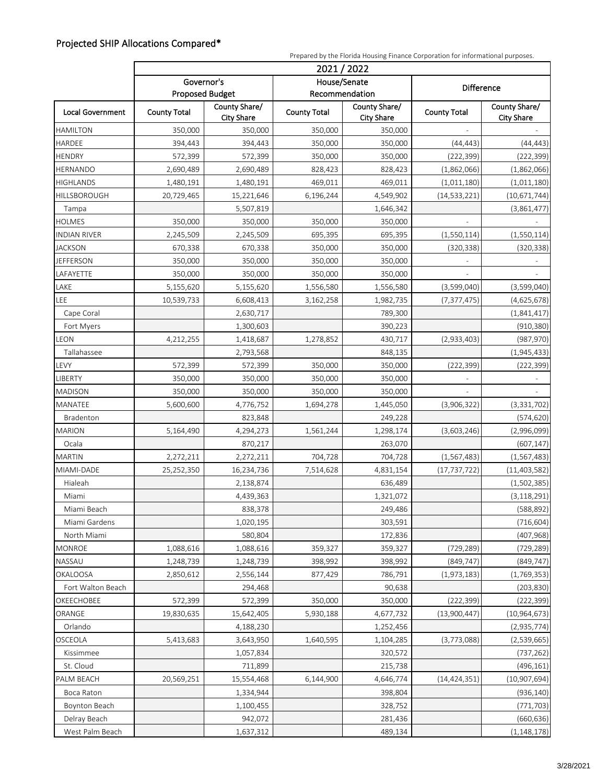#### Projected SHIP Allocations Compared\*

|                         |                                      | Prepared by the Florida Housing Finance Corporation for informational purposes. |                                |                                    |                     |                                    |  |
|-------------------------|--------------------------------------|---------------------------------------------------------------------------------|--------------------------------|------------------------------------|---------------------|------------------------------------|--|
| <b>Local Government</b> | 2021 / 2022                          |                                                                                 |                                |                                    |                     |                                    |  |
|                         | Governor's<br><b>Proposed Budget</b> |                                                                                 | House/Senate<br>Recommendation |                                    | Difference          |                                    |  |
|                         | <b>County Total</b>                  | County Share/<br><b>City Share</b>                                              | <b>County Total</b>            | County Share/<br><b>City Share</b> | <b>County Total</b> | County Share/<br><b>City Share</b> |  |
| <b>HAMILTON</b>         | 350,000                              | 350,000                                                                         | 350,000                        | 350,000                            |                     |                                    |  |
| HARDEE                  | 394,443                              | 394,443                                                                         | 350,000                        | 350,000                            | (44, 443)           | (44, 443)                          |  |
| <b>HENDRY</b>           | 572,399                              | 572,399                                                                         | 350,000                        | 350,000                            | (222, 399)          | (222, 399)                         |  |
| HERNANDO                | 2,690,489                            | 2,690,489                                                                       | 828,423                        | 828,423                            | (1,862,066)         | (1,862,066)                        |  |
| <b>HIGHLANDS</b>        | 1,480,191                            | 1,480,191                                                                       | 469,011                        | 469,011                            | (1,011,180)         | (1,011,180)                        |  |
| HILLSBOROUGH            | 20,729,465                           | 15,221,646                                                                      | 6,196,244                      | 4,549,902                          | (14, 533, 221)      | (10, 671, 744)                     |  |
| Tampa                   |                                      | 5,507,819                                                                       |                                | 1,646,342                          |                     | (3,861,477)                        |  |
| <b>HOLMES</b>           | 350,000                              | 350,000                                                                         | 350,000                        | 350,000                            |                     |                                    |  |
| <b>INDIAN RIVER</b>     | 2,245,509                            | 2,245,509                                                                       | 695,395                        | 695,395                            | (1,550,114)         | (1,550,114)                        |  |
| <b>JACKSON</b>          | 670,338                              | 670,338                                                                         | 350,000                        | 350,000                            | (320, 338)          | (320, 338)                         |  |
| <b>JEFFERSON</b>        | 350,000                              | 350,000                                                                         | 350,000                        | 350,000                            | $\bar{\phantom{a}}$ |                                    |  |
| LAFAYETTE               | 350,000                              | 350,000                                                                         | 350,000                        | 350,000                            |                     |                                    |  |
| LAKE                    | 5,155,620                            | 5,155,620                                                                       | 1,556,580                      | 1,556,580                          | (3,599,040)         | (3,599,040)                        |  |
| LEE                     | 10,539,733                           | 6,608,413                                                                       | 3,162,258                      | 1,982,735                          | (7, 377, 475)       | (4,625,678)                        |  |
| Cape Coral              |                                      | 2,630,717                                                                       |                                | 789,300                            |                     | (1,841,417)                        |  |
| Fort Myers              |                                      | 1,300,603                                                                       |                                | 390,223                            |                     | (910, 380)                         |  |
| LEON                    | 4,212,255                            | 1,418,687                                                                       | 1,278,852                      | 430,717                            | (2,933,403)         | (987, 970)                         |  |
| Tallahassee             |                                      | 2,793,568                                                                       |                                | 848,135                            |                     | (1,945,433)                        |  |
| LEVY                    | 572,399                              | 572,399                                                                         | 350,000                        | 350,000                            | (222, 399)          | (222, 399)                         |  |
| LIBERTY                 | 350,000                              | 350,000                                                                         | 350,000                        | 350,000                            |                     |                                    |  |
| <b>MADISON</b>          | 350,000                              | 350,000                                                                         | 350,000                        | 350,000                            | $\overline{a}$      |                                    |  |
| MANATEE                 | 5,600,600                            | 4,776,752                                                                       | 1,694,278                      | 1,445,050                          | (3,906,322)         | (3, 331, 702)                      |  |
| Bradenton               |                                      | 823,848                                                                         |                                | 249,228                            |                     | (574, 620)                         |  |
| <b>MARION</b>           | 5,164,490                            | 4,294,273                                                                       | 1,561,244                      | 1,298,174                          | (3,603,246)         | (2,996,099)                        |  |
| Ocala                   |                                      | 870,217                                                                         |                                | 263,070                            |                     | (607, 147)                         |  |
| <b>MARTIN</b>           | 2,272,211                            | 2,272,211                                                                       | 704,728                        | 704,728                            | (1, 567, 483)       | (1, 567, 483)                      |  |
| MIAMI-DADE              | 25,252,350                           | 16,234,736                                                                      | 7,514,628                      | 4,831,154                          | (17, 737, 722)      | (11, 403, 582)                     |  |
| Hialeah                 |                                      | 2,138,874                                                                       |                                | 636,489                            |                     | (1,502,385)                        |  |
| Miami                   |                                      | 4,439,363                                                                       |                                | 1,321,072                          |                     | (3, 118, 291)                      |  |
| Miami Beach             |                                      | 838,378                                                                         |                                | 249,486                            |                     | (588, 892)                         |  |
| Miami Gardens           |                                      | 1,020,195                                                                       |                                | 303,591                            |                     | (716, 604)                         |  |
| North Miami             |                                      | 580,804                                                                         |                                | 172,836                            |                     | (407, 968)                         |  |
| MONROE                  | 1,088,616                            | 1,088,616                                                                       | 359,327                        | 359,327                            | (729, 289)          | (729, 289)                         |  |
| NASSAU                  | 1,248,739                            | 1,248,739                                                                       | 398,992                        | 398,992                            | (849, 747)          | (849, 747)                         |  |
| <b>OKALOOSA</b>         | 2,850,612                            | 2,556,144                                                                       | 877,429                        | 786,791                            | (1,973,183)         | (1,769,353)                        |  |
| Fort Walton Beach       |                                      | 294,468                                                                         |                                | 90,638                             |                     | (203, 830)                         |  |
| OKEECHOBEE              | 572,399                              | 572,399                                                                         | 350,000                        | 350,000                            | (222, 399)          | (222, 399)                         |  |
| ORANGE                  | 19,830,635                           | 15,642,405                                                                      | 5,930,188                      | 4,677,732                          | (13,900,447)        | (10, 964, 673)                     |  |
| Orlando                 |                                      | 4,188,230                                                                       |                                | 1,252,456                          |                     | (2,935,774)                        |  |
| OSCEOLA                 | 5,413,683                            | 3,643,950                                                                       | 1,640,595                      | 1,104,285                          | (3,773,088)         | (2,539,665)                        |  |
| Kissimmee               |                                      | 1,057,834                                                                       |                                | 320,572                            |                     | (737, 262)                         |  |
| St. Cloud               |                                      | 711,899                                                                         |                                | 215,738                            |                     | (496, 161)                         |  |
| PALM BEACH              | 20,569,251                           | 15,554,468                                                                      | 6,144,900                      | 4,646,774                          | (14, 424, 351)      | (10,907,694)                       |  |
| Boca Raton              |                                      | 1,334,944                                                                       |                                | 398,804                            |                     | (936, 140)                         |  |
| Boynton Beach           |                                      | 1,100,455                                                                       |                                | 328,752                            |                     | (771, 703)                         |  |
| Delray Beach            |                                      | 942,072                                                                         |                                | 281,436                            |                     | (660, 636)                         |  |
| West Palm Beach         |                                      | 1,637,312                                                                       |                                | 489,134                            |                     | (1, 148, 178)                      |  |